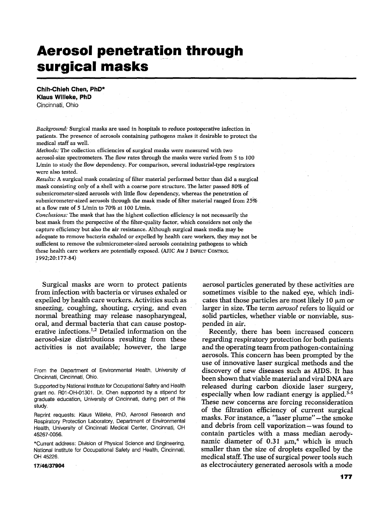# **Aerosol penetration through surgical masks**

**Chih-Chieh Chen, PhD\* Klaus Willeke, PhD**  Cincinnati, Ohio

*Background:* Surgical masks are used in hospitals to reduce postoperative infection in patients. The presence of aerosols containing pathogens makes it desirable to protect the medical staff as well

*Methods:* The collection efficiencies of surgical masks were measured with two aerosol-size spectrometers. The flow rates through the masks were varied from 5 to 100 L/min to study the flow dependency. For comparison, several industrial-type respirators were also tested.

*Results:* A surgical mask consisting of filter material performed better than did a surgical mask consisting only of a shell with a coarse pore structure. The latter passed 80% of submicrometer-sized aerosols with little flow dependency, whereas the penetration of submicrometer-sized aerosols through the mask made of filter material ranged from 25% at a flow rate of 5 L/min to 70% at 100 L/min.

*Conclusions:* The mask that has the highest collection efficiency is not necessarily the best mask from the perspective of the filter-quality factor, which considers not only the capture efficiency but also the air resistance. A]though surgical mask media may be adequate to remove bacteria exhaled or expelled by health care workers, they may not be sufficient to remove the submicrometer-sized aerosols containing pathogens to which these health care workers are potentially exposed. (AJIC AM J INFECT CONTROL 1992;20:177-84)

Surgical masks are worn to protect patients from infection with bacteria or viruses exhaled or expelled by health care workers. Activities such as sneezing, coughing, shouting, crying, and even normal breathing may release nasopharyngeal, oral, and dermal bacteria that can cause postoperative infections.<sup>1,2</sup> Detailed information on the aerosol-size distributions resulting from these activities is not available; however, the large

Reprint requests: Klaus Willeke, PhD, Aerosol Research and Respiratory Protection Laboratory, Department of Environmental Health, University of Cincinnati Medical Center, Cincinnati, OH 45267-0056.

\*Current address: Division of Physical Science and Engineering, National Institute for Occupational Safety and Health, Cincinnati, OH 45226.

**17/46/37904** 

aerosol particles generated by these activities are sometimes visible to the naked eve, which indicates that those particles are most likely 10 um or larger in size. The term *aerosol* refers to liquid or solid particles, whether viable or nonviable, suspended in air.

Recently, there has been increased concern regarding respiratory protection for both patients and the operating team from pathogen-containing aerosols. This concern has been prompted by the use of innovative laser surgical methods and the discovery of new diseases such as AIDS. It has been shown that viable material and viral DNA are released during carbon dioxide laser surgery, especially when low radiant energy is applied. $3-5$ These new concerns are forcing reconsideration of the filtration efficiency of current surgical masks. For instance, a "laser plume"-the smoke and debris from ceU vaporization-was found to contain particles with a mass median aerodynamic diameter of 0.31  $\mu$ m,<sup>4</sup> which is much smaller than the size of droplets expelled by the medical staff. The use of surgical power tools such as electrocautery generated aerosols with a mode

From the Department of Environmental Health, University of Cincinnati, Cincinnati, Ohio.

Supported by National Institute for Occupational Safety and Health grant no. R01-OH-01301. Dr. Chen supported by a stipend for graduate education, University of Cincinnati, during part of this study.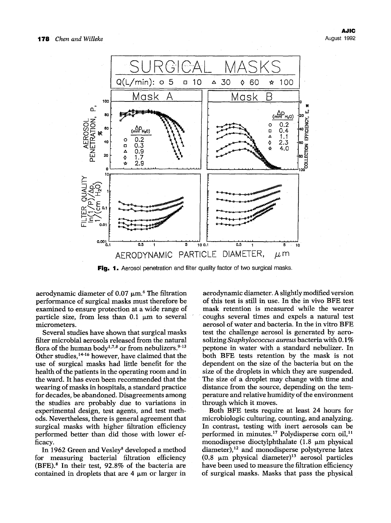

Fig. 1. Aerosol penetration and filter quality factor of two surgical masks.

aerodynamic diameter of  $0.07 \mu m$ .<sup>6</sup> The filtration performance of surgical masks must therefore be examined to ensure protection at a wide range of particle size, from less than  $0.1 \mu m$  to several micrometers.

Several studies have shown that surgical masks filter microbial aerosols released from the natural flora of the human body<sup>1,7,8</sup> or from nebulizers.<sup>9-13</sup> Other studies,<sup>14-16</sup> however, have claimed that the use of surgical masks had little benefit for the health of the patients in the operating room and in the ward. It has even been recommended that the wearing of masks in hospitals, a standard practice for decades, be abandoned. Disagreements among the studies are probably due to variations in experimental design, test agents, and test methods. Nevertheless, there is general agreement that surgical masks with higher filtration efficiency performed better than did those with lower efficacy.

In 1962 Green and Vesley<sup>8</sup> developed a method for measuring bacterial filtration efficiency  $(BFE).$ <sup>8</sup> In their test, 92.8% of the bacteria are contained in droplets that are  $4 \mu m$  or larger in

aerodynamic diameter. A slightly modified version of this test is still in use. In the in vivo BFE test mask retention is measured while the wearer coughs several times and expels a natural test aerosol of water and bacteria. In the in vitro BFE test the challenge aerosol is generated by aerosolizing *Staphylococcus aureus* bacteria with 0.1% peptone in water with a standard nebulizer. In both BFE tests retention by the mask is not dependent on the size of the bacteria but on the size of the droplets in which they are suspended. The size of a droplet may change with time and distance from the source, depending on the temperature and relative humidity of the environment through which it moves.

Both BFE tests require at least 24 hours for microbiologic culturing, counting, and analyzing. In contrast, testing with inert aerosols can be performed in minutes.<sup>17</sup> Polydisperse corn oil,<sup>11</sup> monodisperse dioctylphthalate  $(1.8 \mu m)$  physical  $diameter$ ),<sup>12</sup> and monodisperse polystyrene latex  $(0.8 \mu m)$  physical diameter)<sup>13</sup> aerosol particles have been used to measure the filtration efficiency of surgical masks. Masks that pass the physical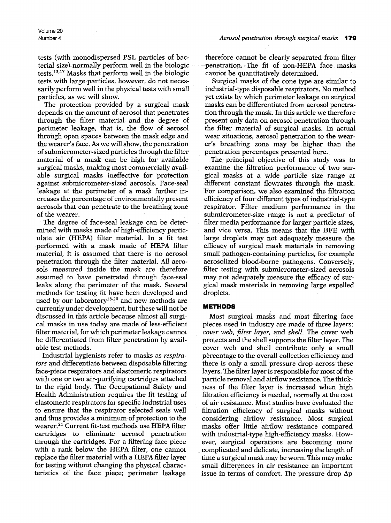tests (with monodispersed PSL particles of bacterial size) normally perform well in the biologic tests.<sup>13,17</sup> Masks that perform well in the biologic tests with large.particles, however, do not necessarily perform well in the physical tests with small particles, as we will show.

The protection provided by a surgical mask depends on the amount of aerosol that penetrates through the filter material and the degree of perimeter leakage, that is, the flow of aerosol through open spaces between the mask edge and the wearer's face. As we will show, the penetration of submicrometer-sized particles through the filter material of a mask can be high for available surgical masks, making most commercially available surgical masks ineffective for protection against submicrometer-sized aerosols. Face-seal leakage at the perimeter of a mask further increases the percentage of environmentally present aerosols that can penetrate to the breathing zone of the wearer.

The degree of face-seal leakage can be determined with masks made of high-efficiency particulate air (HEPA) filter material. In a fit test performed with a mask made of HEPA filter material, it is assumed that there is no aerosol penetration through the filter material. All aerosols measured inside the mask are therefore assumed to have penetrated through face-seal leaks along the perimeter of the mask. Several methods for testing fit have been developed and used by our laboratory<sup>18-20</sup> and new methods are currently under development, but these will not be discussed in this article because almost all surgical masks in use today are made of less-efficient filter material, for which perimeter leakage cannot be differentiated from filter penetration by available test methods.

Industrial hygienists refer to masks as *respirators* and differentiate between disposable filtering face-piece respirators and elastomeric respirators with one or two air-purifying cartridges attached to the rigid body. The Occupational Safety and Health Administration requires the fit testing of elastomeric respirators for specific industrial uses to ensure that the respirator selected seals well and thus provides a minimum of protection to the wearer.<sup>21</sup> Current fit-test methods use HEPA filter cartridges to eliminate aerosol penetration through the cartridges. For a filtering face piece with a rank below the HEPA filter, one cannot replace the filter material with a HEPA filter layer for testing without changing the physical characteristics of the face piece; perimeter leakage

therefore cannot be clearly separated from filter .... penetration. The fit of non-HEPA face masks cannot be quantitatively determined.

Surgical masks of the cone type are similar to industrial-type disposable respirators. No method yet exists by which perimeter leakage on surgical masks can be differentiated from aerosol penetration through the mask. In this article we therefore present only data on aerosol penetration through the fiker material of surgical masks. In actual wear situations, aerosol penetration to the wearer's breathing zone may be higher than the penetration percentages presented here.

The principal objective of this study was to examine the filtration performance of two surgical masks at a wide particle size range at different constant flowrates through the mask. For comparison, we also examined the filtration efficiency of four different types of industrial-type respirator. Filter medium performance in the submicrometer-size range is not a predictor of filter media performance for larger particle sizes, and vice versa. This means that the BFE with large droplets may not adequately measure the efficacy of surgical mask materials in removing small pathogen-containing particles, for example aerosolized blood-borne pathogens. Conversely, filter testing with submicrometer-sized aerosols may not adequately measure the efficacy of surgical mask materials in removing large expelled droplets.

# **METHODS**

Most surgical masks and most filtering face pieces used in industry are made of three layers: *cover web, filter layer,* and *shell.* The cover web protects and the shell supports the filter layer. The cover web and shell contribute only a small percentage to the overall collection efficiency and there is only a small pressure drop across these layers. The filter layer is responsible for most of the particle removal and airflow resistance. The thickness of the filter layer is increased when high filtration efficiency is needed, normally at the cost of air resistance. Most studies have evaluated the filtration efficiency of surgical masks without considering airflow resistance. Most surgical masks offer little airflow resistance compared with industrial-type high-efficiency masks. However, surgical operations are becoming more complicated and delicate, increasing the length of time a surgical mask may be worn. This may make small differences in air resistance an important issue in terms of comfort. The pressure drop  $\Delta p$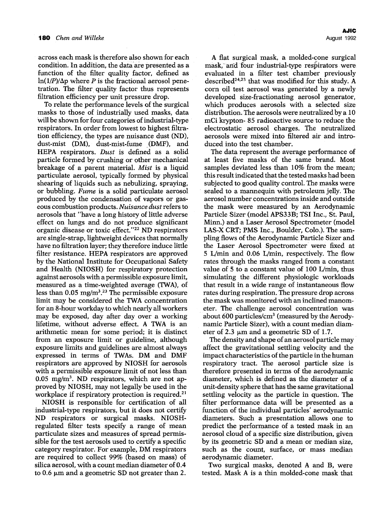across each mask is therefore also shown for each condition. In addition, the data are presented as a function of the filter quality factor, defined as  $ln(1/P)/\Delta p$  where P is the fractional aerosol penetration. The filter quality factor thus represents filtration efficiency per unit pressure drop.

To relate the performance levels of the surgical masks to those of industrially used masks, data will be shown for four categories of industrial-type respirators. In order from lowest to highest filtration efficiency, the types are nuisance dust (ND), dust-mist (DM), dust-mist-fume (DMF), and HEPA respirators. *Dust* is defined as a solid particle formed by crushing or other mechanical breakage of a parent material. *Mist* is a liquid particulate aerosol, typically formed by physical shearing of liquids such as nebulizing, spraying, or bubbling. *Fume* is a solid particulate aerosol produced by the condensation of vapors or gaseous combustion products. *Nuisance dust* refers to aerosols that "have a long history of little adverse effect on lungs and do not produce significant organic disease or toxic effect. ''22 ND respirators are single-strap, lightweight devices that normally have no filtration layer; they therefore induce little filter resistance. HEPA respirators are approved by the National Institute for Occupational Safety and Health (NIOSH) for respiratory protection against aerosols with a permissible exposure limit, measured as a time-weighted average (TWA), of less than  $0.05$  mg/m<sup>3</sup>.<sup>23</sup> The permissible exposure limit may be considered the TWA concentration for an 8-hour workday to which nearly all workers may be exposed, day after day over a working lifetime, without adverse effect. A TWA is an arithmetic mean for some period; it is distinct from an exposure limit or guideline, although exposure limits and guidelines are almost always expressed in terms of TWAs. DM and DMF respirators are approved by NIOSH for aerosols with a permissible exposure limit of not less than  $0.05$  mg/m<sup>3</sup>. ND respirators, which are not approved by NIOSH, may not legally be used in the workplace if respiratory protection is required.<sup>21</sup>

NIOSH is responsible for certification of all industrial-type respirators, but it does not certify ND respirators or surgical masks. NIOSHregulated filter tests specify a range of mean particulate sizes and measures of spread permissible for the test aerosols used to certify a specific category respirator. For example, DM respirators are required to collect 99% (based on mass) of silica aerosol, with a count median diameter of 0.4 to 0.6  $\mu$ m and a geometric SD not greater than 2.

A flat surgical mask, a molded-cone surgical mask, and four industrial-type respirators were evaluated in a filter test chamber previously described  $24,25$  that was modified for this study. A corn oil test aerosol was generated by a newly developed size-fractionating aerosol generator, which produces aerosols with a selected size distribution. The aerosols were neutralized by a 10 mCi krypton- 85 radioactive source to reduce the electrostatic aerosol charges. The neutralized aerosols were mixed into filtered air and introduced into the test chamber.

The data represent the average performance of at least five masks of the same brand. Most samples deviated less than 10% from the mean; this result indicated that the tested masks had been subjected to good quality control. The masks were sealed to a mannequin with petroleum jelly. The aerosol number concentrations inside and outside the mask were measured by an Aerodynamic Particle Sizer (model APS33B; TSI Inc., St. Paul, Minn.) and a Laser Aerosol Spectrometer (model LAS-X CRT; PMS Inc., Boulder, Colo.). The sampling flows of the Aerodynamic Particle Sizer and the Laser Aerosol Spectrometer were fixed at 5 L/min and 0.06 L/min, respectively. The flow rates through the masks ranged from a constant value of 5 to a constant value of 100 *L/min,* thus simulating the different physiologic workloads that result in a wide range of instantaneous flow rates during respiration. The pressure drop across the mask was monitored with an inclined manometer. The challenge aerosol concentration was about 600 particles/ $\rm cm^3$  (measured by the Aerodynamic Particle Sizer), with a count median diameter of 2.3  $\mu$ m and a geometric SD of 1.7.

The density and shape of an aerosol particle may affect the gravitational settling velocity and the impact characteristics of the particle in the human respiratory tract. The aerosol particle size is therefore presented in terms of the aerodynamic diameter, which is defined as the diameter of a unit-density sphere that has the same gravitational settling velocity as the particle in question. The filter performance data will be presented as a function of the individual particles' aerodynamic diameters. Such a presentation allows one to predict the performance of a tested mask in an aerosol cloud of a specific size distribution, given by its geometric SD and a mean or median size, such as the count, surface, or mass median aerodynamic diameter.

Two surgical masks, denoted A and B, were tested. Mask A is a thin molded-cone mask that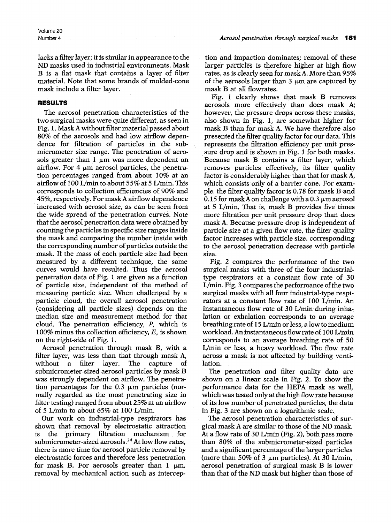Volume 20

lacks a filter layer; it is similar in appearance to the ND masks used in industrial environments. Mask B is a flat mask that contains a layer of filter material. Note that some brands of molded-cone mask include a filter layer.

### **RESULTS**

The aerosol penetration characteristics of the two surgical masks were quite different, as seen in Fig. 1. Mask A without filter material passed about 80% of the aerosols and had low airflow dependence for filtration of particles in the submicrometer size range. The penetration of aerosols greater than 1  $\mu$ m was more dependent on airflow. For 4  $\mu$ m aerosol particles, the penetration percentages ranged from about 10% at an airflow of 100 L/min to about 55% at 5 L/min. This corresponds to collection efficiencies of 90% and 45%, respectively. For mask A airflow dependence increased with aerosol size, as can be seen from the wide spread of the penetration curves. Note that the aerosol penetration data were obtained by counting the particles in specific size ranges inside the mask and comparing the number inside with the corresponding number of particles outside the mask. If the mass of each particle size had been measured by a different technique, the same curves would have resulted. Thus the aerosol penetration data of Fig. 1 are given as a function of particle size, independent of the method of measuring particle size. When challenged by a particle cloud, the overall aerosol penetration (considering all particle sizes) depends on the median size and measurement method for that cloud. The penetration efficiency, P, which is 100% minus the collection efficiency,  $E$ , is shown on the right-side of Fig. 1.

Aerosol penetration through mask B, with a filter layer, was less than that through mask A, without a filter layer. The capture of submicrometer-sized aerosol particles by mask B was strongly dependent on airflow. The penetration percentages for the  $0.3 \mu m$  particles (normally regarded as the most penetrating size in filter testing) ranged from about 25% at an airflow of 5 L/min to about  $65\%$  at 100 L/min.

Our work on industrial-type respirators has shown that removal by electrostatic attraction is the primary filtration mechanism for submicrometer-sized aerosols.<sup>24</sup> At low flow rates, there is more time for aerosol particle removal by electrostatic forces and therefore less penetration for mask B. For aerosols greater than 1  $\mu$ m, removal by mechanical action such as intercep-

tion and impaction dominates; removal of these larger particles is therefore higher at high flow rates, as is clearly seen for mask A. More than 95% of the aerosols larger than  $3 \mu m$  are captured by mask B at all flowrates.

Fig. 1 clearly shows that mask B removes aerosols more effectively than does mask A; however, the pressure drops across these masks, also shown in Fig. 1, are somewhat higher for mask B than for mask A. We have therefore also presented the filter quality factor for our data. This represents the filtration efficiency per unit pressure drop and is shown in Fig. I for both masks. Because mask B contains a filter layer, which removes particles effectively, its filter quality factor is considerably higher than that for mask A, which consists only of a barrier cone. For example, the filter quality factor is 0.78 for mask B and 0.15 for mask A on challenge with a 0.3  $\mu$ m aerosol at 5 L/min. That is, mask B provides five times more filtration per unit pressure drop than does mask A. Because pressure drop is independent of particle size at a given flow rate, the filter quality factor increases with particle size, corresponding to the aerosol penetration decrease with particle size.

Fig. 2 compares the performance of the two surgical masks with three of the four industrialtype respirators at a constant flow rate of 30 L/min. Fig. 3 compares the performance of the two surgical masks with all four industrial-type respirators at a constant flow rate of 100 L/min. An instantaneous flow rate of 30 L/min during inhalation or exhalation corresponds to an average breathing rate of 15 L/min or less, a low to medium workload. An instantaneous flow rate of 100 L/min corresponds to an average breathing rate of 50 L/min or less, a heavy workload. The flow rate across a mask is not affected by building ventilation.

The penetration and filter quality data are shown on a linear scale in Fig. 2. To show the performance data for the HEPA mask as well, which was tested only at the high flow rate because of its low number of penetrated particles, the data in Fig. 3 are shown on a logarithmic scale.

The aerosol penetration characteristics of surgical mask A are similar to those of the ND mask. At a flow rate of 30 L/min (Fig. 2), both pass more than 80% of the submicrometer-sized particles and a significant percentage of the larger particles (more than 50% of 3  $\mu$ m particles). At 30 L/min, aerosol penetration of surgical mask B is lower than that of the ND mask but higher than those of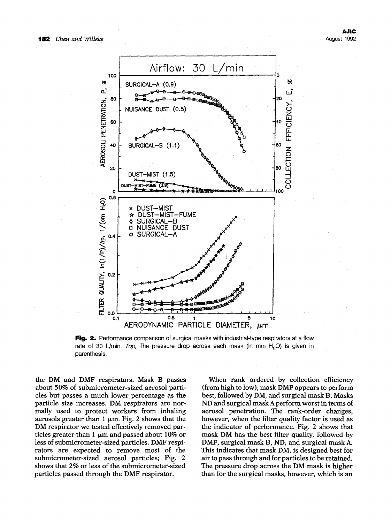

**Fig. 2.** Performance comparison of surgical masks with industrial-type respirators at a flow rate of 30 L/min. *Top*, The pressure drop across each mask (in mm H<sub>2</sub>O) is given in parenthesis.

the DM and DMF respirators. Mask B passes about 50% of submicrometer-sized aerosol particles but passes a much lower percentage as the particle size increases. DM respirators are normally used to protect workers from inhaling aerosols greater than 1  $\mu$ m. Fig. 2 shows that the DM respirator we tested effectively removed particles greater than 1  $\mu$ m and passed about 10% or less of submicrometer-sized particles. DMF respirators are expected to remove most of the submicrometer-sized aerosol particles; Fig. 2 shows that 2% or less of the submicrometer-sized particles passed through the DMF respirator.

When rank ordered by collection efficiency (from high to low), mask DMF appears to perform best, followed by DM, and surgical mask B. Masks ND and surgical mask A perform worst in terms of aerosol penetration. The rank-order changes, however, when the filter quality factor is used as the indicator of performance. Fig. 2 shows that mask DM has the best filter quality, followed by DMF, surgical mask B, ND, and surgical mask A. This indicates that mask DM, is designed best for air to pass through and for particles to be retained. The pressure drop across the DM mask is higher than for the surgical masks, however, which is an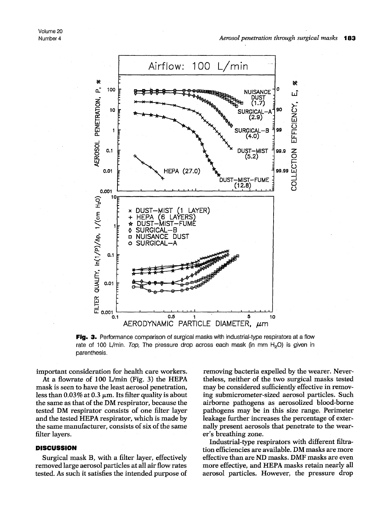

Fig. 3. Performance comparison of surgical masks with industrial-type respirators at a flow rate of 100 L/min. *Top*, The pressure drop across each mask (in mm H<sub>2</sub>O) is given in parenthesis.

important consideration for health care workers.

At a flowrate of 100 L/min (Fig. 3) the HEPA mask is seen to have the least aerosol penetration, less than 0.03% at 0.3  $\mu$ m. Its filter quality is about the same as that of the DM respirator, because the tested DM respirator consists of one filter layer and the tested HEPA respirator, which is made by the same manufacturer, consists of six of the same filter layers.

# **DISCUSSION**

Surgical mask B, with a filter layer, effectively removed large aerosol particles at all air flow rates tested. As such it satisfies the intended purpose of

removing bacteria expelled by the wearer. Nevertheless, neither of the two surgical masks tested may be considered sufficiently effective in removing submicrometer-sized aerosol particles. Such airborne pathogens as aerosolized blood-borne pathogens may be in this size range. Perimeter leakage further increases the percentage of externally present aerosols that penetrate to the wearer's breathing zone.

Industrial-type respirators with different filtration efficiencies are available. DM masks are more effective than are ND masks. DMF masks are even more effective, and HEPA masks retain nearly all aerosol particles. However, the pressure drop